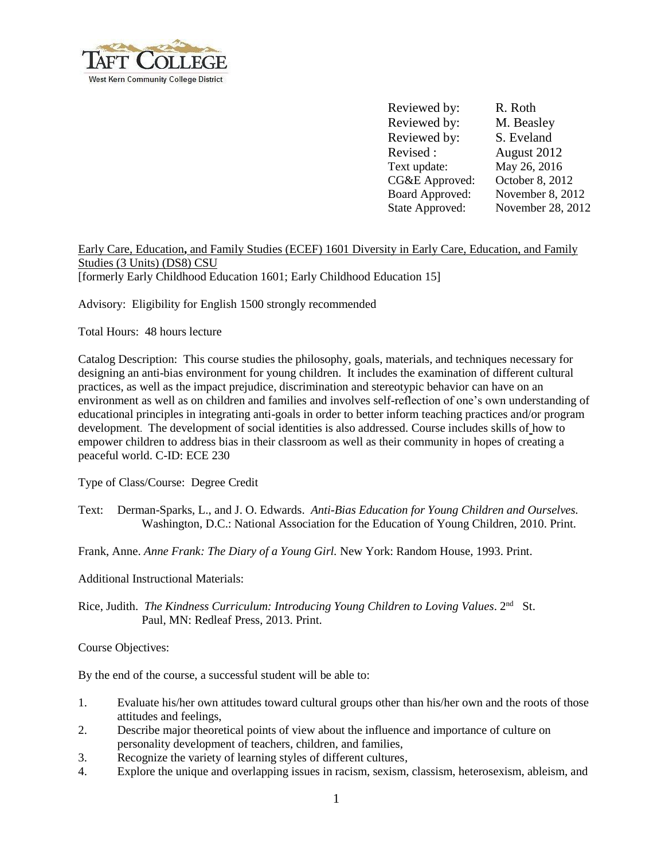

Reviewed by: R. Roth Reviewed by: M. Beasley Reviewed by: S. Eveland Revised : August 2012 Text update: CG&E Approved: Board Approved: State Approved: May 26, 2016 October 8, 2012 November 8, 2012 November 28, 2012

Early Care, Education**,** and Family Studies (ECEF) 1601 Diversity in Early Care, Education, and Family Studies (3 Units) (DS8) CSU [formerly Early Childhood Education 1601; Early Childhood Education 15]

Advisory: Eligibility for English 1500 strongly recommended

Total Hours: 48 hours lecture

Catalog Description: This course studies the philosophy, goals, materials, and techniques necessary for designing an anti-bias environment for young children. It includes the examination of different cultural practices, as well as the impact prejudice, discrimination and stereotypic behavior can have on an environment as well as on children and families and involves self-reflection of one's own understanding of educational principles in integrating anti-goals in order to better inform teaching practices and/or program development. The development of social identities is also addressed. Course includes skills of how to empower children to address bias in their classroom as well as their community in hopes of creating a peaceful world. C-ID: ECE 230

Type of Class/Course: Degree Credit

Text: Derman-Sparks, L., and J. O. Edwards. *Anti-Bias Education for Young Children and Ourselves.* Washington, D.C.: National Association for the Education of Young Children, 2010. Print.

Frank, Anne. *Anne Frank: The Diary of a Young Girl.* New York: Random House, 1993. Print.

Additional Instructional Materials:

Rice, Judith. *The Kindness Curriculum: Introducing Young Children to Loving Values*. 2<sup>nd</sup> St. Paul, MN: Redleaf Press, 2013. Print.

Course Objectives:

By the end of the course, a successful student will be able to:

- 1. Evaluate his/her own attitudes toward cultural groups other than his/her own and the roots of those attitudes and feelings,
- 2. Describe major theoretical points of view about the influence and importance of culture on personality development of teachers, children, and families,
- 3. Recognize the variety of learning styles of different cultures,
- 4. Explore the unique and overlapping issues in racism, sexism, classism, heterosexism, ableism, and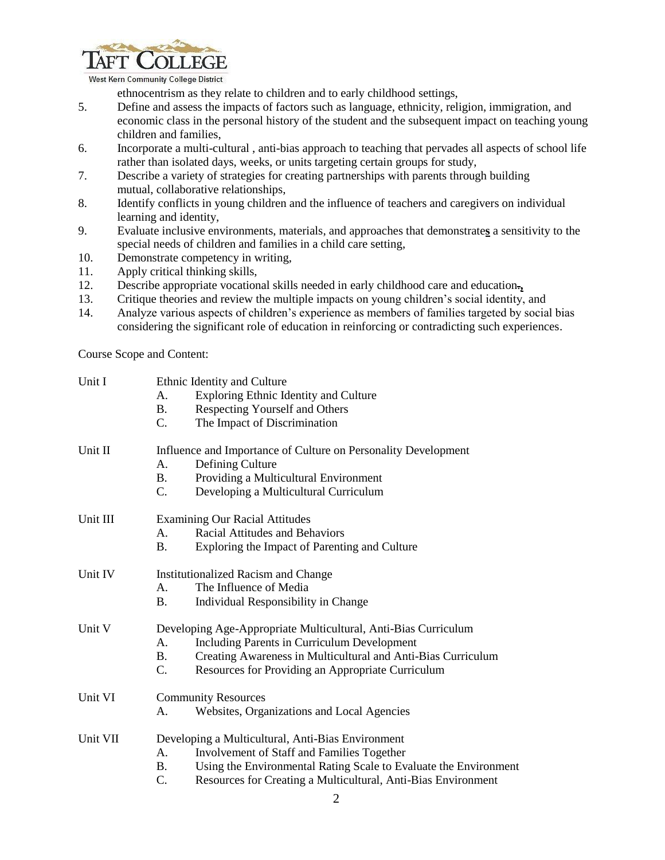

West Kern Community College District

ethnocentrism as they relate to children and to early childhood settings,

- 5. Define and assess the impacts of factors such as language, ethnicity, religion, immigration, and economic class in the personal history of the student and the subsequent impact on teaching young children and families,
- 6. Incorporate a multi-cultural , anti-bias approach to teaching that pervades all aspects of school life rather than isolated days, weeks, or units targeting certain groups for study,
- 7. Describe a variety of strategies for creating partnerships with parents through building mutual, collaborative relationships,
- 8. Identify conflicts in young children and the influence of teachers and caregivers on individual learning and identity,
- 9. Evaluate inclusive environments, materials, and approaches that demonstrate**s** a sensitivity to the special needs of children and families in a child care setting,
- 10. Demonstrate competency in writing,
- 11. Apply critical thinking skills,
- 12. Describe appropriate vocational skills needed in early childhood care and education.**,**
- 13. Critique theories and review the multiple impacts on young children's social identity, and
- 14. Analyze various aspects of children's experience as members of families targeted by social bias considering the significant role of education in reinforcing or contradicting such experiences.

Course Scope and Content:

| Unit I   | Ethnic Identity and Culture<br>Exploring Ethnic Identity and Culture<br>А.<br>Respecting Yourself and Others<br><b>B.</b><br>C.<br>The Impact of Discrimination                                                                                                  |
|----------|------------------------------------------------------------------------------------------------------------------------------------------------------------------------------------------------------------------------------------------------------------------|
| Unit II  | Influence and Importance of Culture on Personality Development<br>Defining Culture<br>А.<br><b>B.</b><br>Providing a Multicultural Environment<br>Developing a Multicultural Curriculum<br>C.                                                                    |
| Unit III | <b>Examining Our Racial Attitudes</b><br>Racial Attitudes and Behaviors<br>A.<br><b>B.</b><br>Exploring the Impact of Parenting and Culture                                                                                                                      |
| Unit IV  | Institutionalized Racism and Change<br>The Influence of Media<br>$\mathsf{A}$ .<br><b>B.</b><br>Individual Responsibility in Change                                                                                                                              |
| Unit V   | Developing Age-Appropriate Multicultural, Anti-Bias Curriculum<br>Including Parents in Curriculum Development<br>A.<br>Creating Awareness in Multicultural and Anti-Bias Curriculum<br>$\mathbf{B}$ .<br>C.<br>Resources for Providing an Appropriate Curriculum |
| Unit VI  | <b>Community Resources</b><br>Websites, Organizations and Local Agencies<br>А.                                                                                                                                                                                   |
| Unit VII | Developing a Multicultural, Anti-Bias Environment<br>Involvement of Staff and Families Together<br>A.<br>Using the Environmental Rating Scale to Evaluate the Environment<br><b>B.</b><br>$C$ .<br>Resources for Creating a Multicultural, Anti-Bias Environment |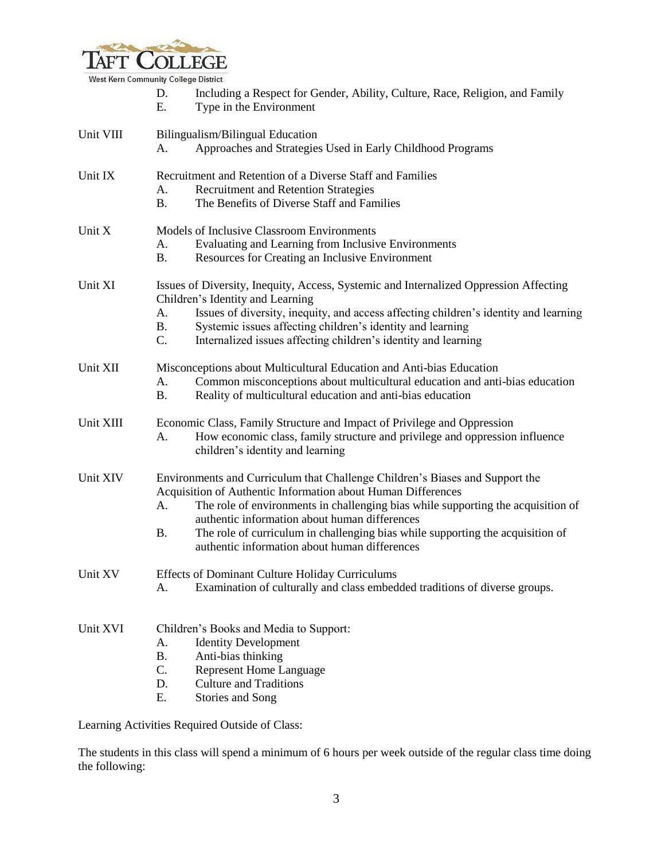

|           | D.<br>E.                                                                                             | Including a Respect for Gender, Ability, Culture, Race, Religion, and Family<br>Type in the Environment                                                                                                                                                                                                                                                                                                              |  |  |
|-----------|------------------------------------------------------------------------------------------------------|----------------------------------------------------------------------------------------------------------------------------------------------------------------------------------------------------------------------------------------------------------------------------------------------------------------------------------------------------------------------------------------------------------------------|--|--|
| Unit VIII | Bilingualism/Bilingual Education<br>Approaches and Strategies Used in Early Childhood Programs<br>А. |                                                                                                                                                                                                                                                                                                                                                                                                                      |  |  |
| Unit IX   | A.<br><b>B.</b>                                                                                      | Recruitment and Retention of a Diverse Staff and Families<br>Recruitment and Retention Strategies<br>The Benefits of Diverse Staff and Families                                                                                                                                                                                                                                                                      |  |  |
| Unit X    | A.<br><b>B.</b>                                                                                      | Models of Inclusive Classroom Environments<br>Evaluating and Learning from Inclusive Environments<br>Resources for Creating an Inclusive Environment                                                                                                                                                                                                                                                                 |  |  |
| Unit XI   | А.<br><b>B.</b><br>C.                                                                                | Issues of Diversity, Inequity, Access, Systemic and Internalized Oppression Affecting<br>Children's Identity and Learning<br>Issues of diversity, inequity, and access affecting children's identity and learning<br>Systemic issues affecting children's identity and learning<br>Internalized issues affecting children's identity and learning                                                                    |  |  |
| Unit XII  | А.<br><b>B.</b>                                                                                      | Misconceptions about Multicultural Education and Anti-bias Education<br>Common misconceptions about multicultural education and anti-bias education<br>Reality of multicultural education and anti-bias education                                                                                                                                                                                                    |  |  |
| Unit XIII | A.                                                                                                   | Economic Class, Family Structure and Impact of Privilege and Oppression<br>How economic class, family structure and privilege and oppression influence<br>children's identity and learning                                                                                                                                                                                                                           |  |  |
| Unit XIV  | A.<br><b>B.</b>                                                                                      | Environments and Curriculum that Challenge Children's Biases and Support the<br>Acquisition of Authentic Information about Human Differences<br>The role of environments in challenging bias while supporting the acquisition of<br>authentic information about human differences<br>The role of curriculum in challenging bias while supporting the acquisition of<br>authentic information about human differences |  |  |
| Unit XV   | A.                                                                                                   | <b>Effects of Dominant Culture Holiday Curriculums</b><br>Examination of culturally and class embedded traditions of diverse groups.                                                                                                                                                                                                                                                                                 |  |  |
| Unit XVI  | A.<br><b>B.</b><br>C.<br>D.<br>Ε.                                                                    | Children's Books and Media to Support:<br><b>Identity Development</b><br>Anti-bias thinking<br><b>Represent Home Language</b><br><b>Culture and Traditions</b><br>Stories and Song                                                                                                                                                                                                                                   |  |  |

Learning Activities Required Outside of Class:

The students in this class will spend a minimum of 6 hours per week outside of the regular class time doing the following: